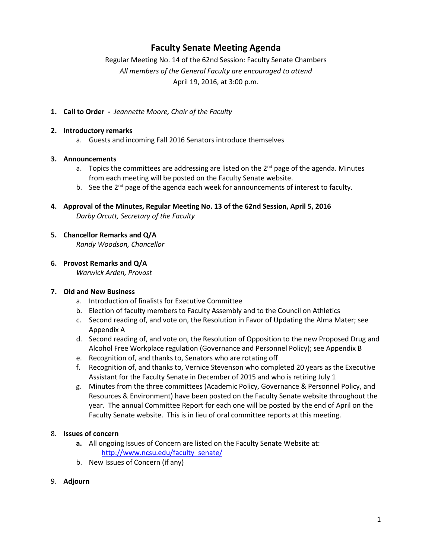## **Faculty Senate Meeting Agenda**

Regular Meeting No. 14 of the 62nd Session: Faculty Senate Chambers *All members of the General Faculty are encouraged to attend* April 19, 2016, at 3:00 p.m.

**1. Call to Order -** *Jeannette Moore, Chair of the Faculty*

#### **2. Introductory remarks**

a. Guests and incoming Fall 2016 Senators introduce themselves

#### **3. Announcements**

- a. Topics the committees are addressing are listed on the  $2^{nd}$  page of the agenda. Minutes from each meeting will be posted on the Faculty Senate website.
- b. See the  $2^{nd}$  page of the agenda each week for announcements of interest to faculty.
- **4. Approval of the Minutes, Regular Meeting No. 13 of the 62nd Session, April 5, 2016** *Darby Orcutt, Secretary of the Faculty*

### **5. Chancellor Remarks and Q/A**

*Randy Woodson, Chancellor*

**6. Provost Remarks and Q/A**

*Warwick Arden, Provost*

#### **7. Old and New Business**

- a. Introduction of finalists for Executive Committee
- b. Election of faculty members to Faculty Assembly and to the Council on Athletics
- c. Second reading of, and vote on, the Resolution in Favor of Updating the Alma Mater; see Appendix A
- d. Second reading of, and vote on, the Resolution of Opposition to the new Proposed Drug and Alcohol Free Workplace regulation (Governance and Personnel Policy); see Appendix B
- e. Recognition of, and thanks to, Senators who are rotating off
- f. Recognition of, and thanks to, Vernice Stevenson who completed 20 years as the Executive Assistant for the Faculty Senate in December of 2015 and who is retiring July 1
- g. Minutes from the three committees (Academic Policy, Governance & Personnel Policy, and Resources & Environment) have been posted on the Faculty Senate website throughout the year. The annual Committee Report for each one will be posted by the end of April on the Faculty Senate website. This is in lieu of oral committee reports at this meeting.

#### 8. **Issues of concern**

- **a.** All ongoing Issues of Concern are listed on the Faculty Senate Website at: [http://www.ncsu.edu/faculty\\_senate/](http://www.ncsu.edu/faculty_senate/)
- b. New Issues of Concern (if any)
- 9. **Adjourn**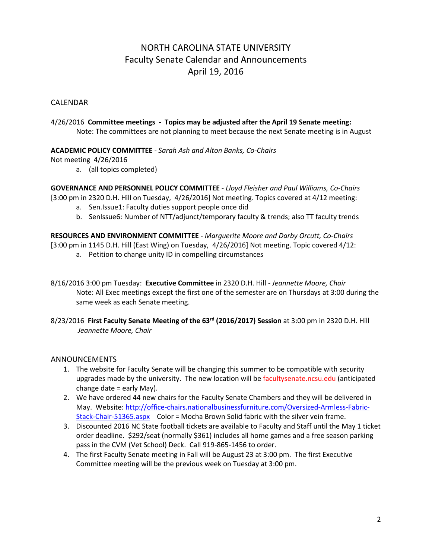# NORTH CAROLINA STATE UNIVERSITY Faculty Senate Calendar and Announcements April 19, 2016

### CALENDAR

4/26/2016 **Committee meetings - Topics may be adjusted after the April 19 Senate meeting:** Note: The committees are not planning to meet because the next Senate meeting is in August

#### **ACADEMIC POLICY COMMITTEE** - *Sarah Ash and Alton Banks, Co-Chairs*

Not meeting 4/26/2016

a. (all topics completed)

**GOVERNANCE AND PERSONNEL POLICY COMMITTEE** - *Lloyd Fleisher and Paul Williams, Co-Chairs*

[3:00 pm in 2320 D.H. Hill on Tuesday, 4/26/2016] Not meeting. Topics covered at 4/12 meeting:

- a. Sen.Issue1: Faculty duties support people once did
- b. SenIssue6: Number of NTT/adjunct/temporary faculty & trends; also TT faculty trends

**RESOURCES AND ENVIRONMENT COMMITTEE** - *Marguerite Moore and Darby Orcutt, Co-Chairs* [3:00 pm in 1145 D.H. Hill (East Wing) on Tuesday, 4/26/2016] Not meeting. Topic covered 4/12:

- a. Petition to change unity ID in compelling circumstances
- 8/16/2016 3:00 pm Tuesday: **Executive Committee** in 2320 D.H. Hill *- Jeannette Moore, Chair* Note: All Exec meetings except the first one of the semester are on Thursdays at 3:00 during the same week as each Senate meeting.
- 8/23/2016 **First Faculty Senate Meeting of the 63rd (2016/2017) Session** at 3:00 pm in 2320 D.H. Hill *Jeannette Moore, Chair*

### ANNOUNCEMENTS

- 1. The website for Faculty Senate will be changing this summer to be compatible with security upgrades made by the university. The new location will be facultysenate.ncsu.edu (anticipated change date = early May).
- 2. We have ordered 44 new chairs for the Faculty Senate Chambers and they will be delivered in May. Website: [http://office-chairs.nationalbusinessfurniture.com/Oversized-Armless-Fabric-](http://office-chairs.nationalbusinessfurniture.com/Oversized-Armless-Fabric-Stack-Chair-51365.aspx)[Stack-Chair-51365.aspx](http://office-chairs.nationalbusinessfurniture.com/Oversized-Armless-Fabric-Stack-Chair-51365.aspx) Color = Mocha Brown Solid fabric with the silver vein frame.
- 3. Discounted 2016 NC State football tickets are available to Faculty and Staff until the May 1 ticket order deadline. \$292/seat (normally \$361) includes all home games and a free season parking pass in the CVM (Vet School) Deck. Call 919-865-1456 to order.
- 4. The first Faculty Senate meeting in Fall will be August 23 at 3:00 pm. The first Executive Committee meeting will be the previous week on Tuesday at 3:00 pm.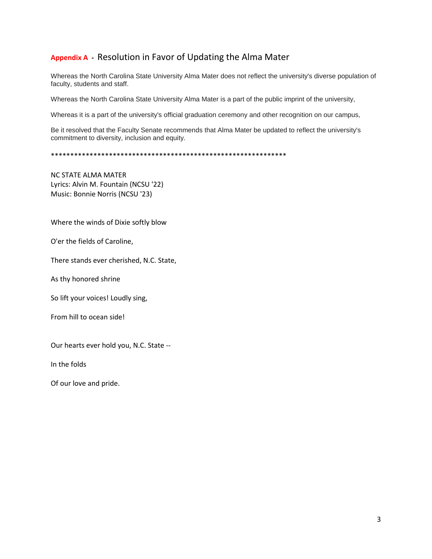## **Appendix A -** Resolution in Favor of Updating the Alma Mater

Whereas the North Carolina State University Alma Mater does not reflect the university's diverse population of faculty, students and staff.

Whereas the North Carolina State University Alma Mater is a part of the public imprint of the university,

Whereas it is a part of the university's official graduation ceremony and other recognition on our campus,

Be it resolved that the Faculty Senate recommends that Alma Mater be updated to reflect the university's commitment to diversity, inclusion and equity.

\*\*\*\*\*\*\*\*\*\*\*\*\*\*\*\*\*\*\*\*\*\*\*\*\*\*\*\*\*\*\*\*\*\*\*\*\*\*\*\*\*\*\*\*\*\*\*\*\*\*\*\*\*\*\*\*\*\*\*\*\*

NC STATE ALMA MATER Lyrics: Alvin M. Fountain (NCSU '22) Music: Bonnie Norris (NCSU '23)

Where the winds of Dixie softly blow

O'er the fields of Caroline,

There stands ever cherished, N.C. State,

As thy honored shrine

So lift your voices! Loudly sing,

From hill to ocean side!

Our hearts ever hold you, N.C. State --

In the folds

Of our love and pride.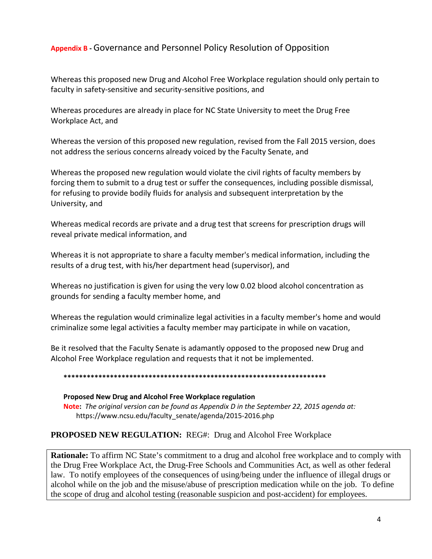## **Appendix B -** Governance and Personnel Policy Resolution of Opposition

Whereas this proposed new Drug and Alcohol Free Workplace regulation should only pertain to faculty in safety-sensitive and security-sensitive positions, and

Whereas procedures are already in place for NC State University to meet the Drug Free Workplace Act, and

Whereas the version of this proposed new regulation, revised from the Fall 2015 version, does not address the serious concerns already voiced by the Faculty Senate, and

Whereas the proposed new regulation would violate the civil rights of faculty members by forcing them to submit to a drug test or suffer the consequences, including possible dismissal, for refusing to provide bodily fluids for analysis and subsequent interpretation by the University, and

Whereas medical records are private and a drug test that screens for prescription drugs will reveal private medical information, and

Whereas it is not appropriate to share a faculty member's medical information, including the results of a drug test, with his/her department head (supervisor), and

Whereas no justification is given for using the very low 0.02 blood alcohol concentration as grounds for sending a faculty member home, and

Whereas the regulation would criminalize legal activities in a faculty member's home and would criminalize some legal activities a faculty member may participate in while on vacation,

Be it resolved that the Faculty Senate is adamantly opposed to the proposed new Drug and Alcohol Free Workplace regulation and requests that it not be implemented.

#### **\*\*\*\*\*\*\*\*\*\*\*\*\*\*\*\*\*\*\*\*\*\*\*\*\*\*\*\*\*\*\*\*\*\*\*\*\*\*\*\*\*\*\*\*\*\*\*\*\*\*\*\*\*\*\*\*\*\*\*\*\*\*\*\*\*\*\*\***

### **Proposed New Drug and Alcohol Free Workplace regulation Note:** *The original version can be found as Appendix D in the September 22, 2015 agenda at:* https://www.ncsu.edu/faculty\_senate/agenda/2015-2016.php

### **PROPOSED NEW REGULATION:** REG#: Drug and Alcohol Free Workplace

**Rationale:** To affirm NC State's commitment to a drug and alcohol free workplace and to comply with the Drug Free Workplace Act, the Drug-Free Schools and Communities Act, as well as other federal law. To notify employees of the consequences of using/being under the influence of illegal drugs or alcohol while on the job and the misuse/abuse of prescription medication while on the job. To define the scope of drug and alcohol testing (reasonable suspicion and post-accident) for employees.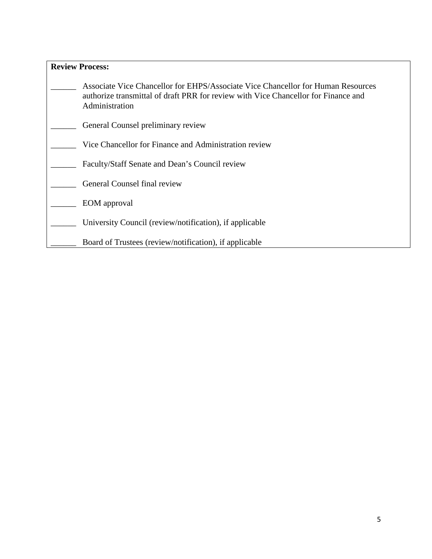| <b>Review Process:</b> |                                                                                                                                                                                          |
|------------------------|------------------------------------------------------------------------------------------------------------------------------------------------------------------------------------------|
|                        | Associate Vice Chancellor for EHPS/Associate Vice Chancellor for Human Resources<br>authorize transmittal of draft PRR for review with Vice Chancellor for Finance and<br>Administration |
|                        | General Counsel preliminary review                                                                                                                                                       |
|                        | Vice Chancellor for Finance and Administration review                                                                                                                                    |
|                        | Faculty/Staff Senate and Dean's Council review                                                                                                                                           |
|                        | General Counsel final review                                                                                                                                                             |
|                        | EOM approval                                                                                                                                                                             |
|                        | University Council (review/notification), if applicable                                                                                                                                  |
|                        | Board of Trustees (review/notification), if applicable                                                                                                                                   |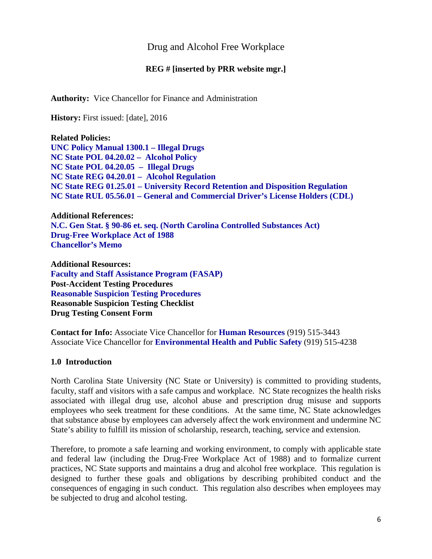## Drug and Alcohol Free Workplace

### **REG # [inserted by PRR website mgr.]**

**Authority:** Vice Chancellor for Finance and Administration

**History:** First issued: [date], 2016

**Related Policies: [UNC Policy Manual 1300.1 –](http://www.northcarolina.edu/policy/index.php) Illegal Drugs [NC State POL 04.20.02 – Alcohol Policy](http://policies.ncsu.edu/policy/pol-04-20-02) [NC State POL 04.20.05 – Illegal Drugs](http://policies.ncsu.edu/policy/pol-04-20-05) [NC State REG 04.20.01 – Alcohol Regulation](http://policies.ncsu.edu/regulation/reg-04-20-01) NC State REG 01.25.01 – [University Record Retention and Disposition Regulation](http://policies.ncsu.edu/regulation/reg-01-25-12) NC State RUL 05.56.01 – General and Commercial Driver's License Holders (CDL)**

**Additional References: [N.C. Gen Stat. § 90-86 et. seq. \(North Carolina Controlled Substances Act\)](http://www.ncga.state.nc.us/EnactedLegislation/Statutes/HTML/ByArticle/Chapter_90/Article_5.html) [Drug-Free Workplace Act of 1988](http://www.dol.gov/elaws/asp/drugfree/screen4.htm) [Chancellor's Memo](http://ncsu.edu/3d-memos/pdf/3dmemo-163.189-drug.free.schools.and.workplace.act.memo.2014.pdf)**

**Additional Resources: [Faculty and Staff Assistance Program \(FASAP\)](http://www.ncsu.edu/human_resources/er/fasap.php) Post-Accident Testing Procedures Reasonable Suspicion Testing Procedures Reasonable Suspicion Testing Checklist Drug Testing Consent Form**

**Contact for Info:** Associate Vice Chancellor for **[Human Resources](http://www2.acs.ncsu.edu/hr/)** (919) 515-3443 Associate Vice Chancellor for **[Environmental Health and Public Safety](http://www.ncsu.edu/ehps/)** (919) 515-4238

### **1.0 Introduction**

North Carolina State University (NC State or University) is committed to providing students, faculty, staff and visitors with a safe campus and workplace. NC State recognizes the health risks associated with illegal drug use, alcohol abuse and prescription drug misuse and supports employees who seek treatment for these conditions. At the same time, NC State acknowledges that substance abuse by employees can adversely affect the work environment and undermine NC State's ability to fulfill its mission of scholarship, research, teaching, service and extension.

Therefore, to promote a safe learning and working environment, to comply with applicable state and federal law (including the Drug-Free Workplace Act of 1988) and to formalize current practices, NC State supports and maintains a drug and alcohol free workplace. This regulation is designed to further these goals and obligations by describing prohibited conduct and the consequences of engaging in such conduct. This regulation also describes when employees may be subjected to drug and alcohol testing.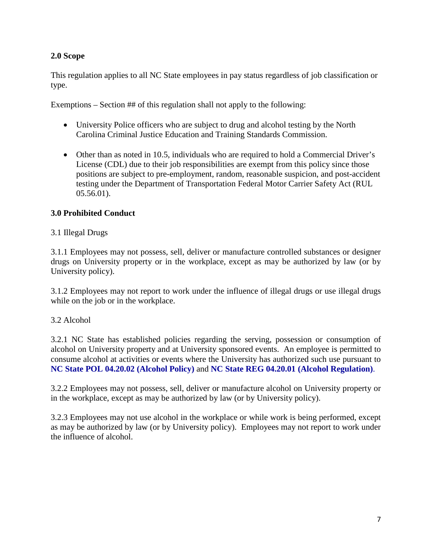## **2.0 Scope**

This regulation applies to all NC State employees in pay status regardless of job classification or type.

Exemptions – Section ## of this regulation shall not apply to the following:

- University Police officers who are subject to drug and alcohol testing by the North Carolina Criminal Justice Education and Training Standards Commission.
- Other than as noted in 10.5, individuals who are required to hold a Commercial Driver's License (CDL) due to their job responsibilities are exempt from this policy since those positions are subject to pre-employment, random, reasonable suspicion, and post-accident testing under the Department of Transportation Federal Motor Carrier Safety Act (RUL 05.56.01).

## **3.0 Prohibited Conduct**

## 3.1 Illegal Drugs

3.1.1 Employees may not possess, sell, deliver or manufacture controlled substances or designer drugs on University property or in the workplace, except as may be authorized by law (or by University policy).

3.1.2 Employees may not report to work under the influence of illegal drugs or use illegal drugs while on the job or in the workplace.

### 3.2 Alcohol

3.2.1 NC State has established policies regarding the serving, possession or consumption of alcohol on University property and at University sponsored events. An employee is permitted to consume alcohol at activities or events where the University has authorized such use pursuant to **[NC State POL 04.20.02 \(Alcohol Policy\)](http://www.ncsu.edu/policies/campus_environ/health_safety_welfare/POL04.20.2.php)** and **[NC State REG 04.20.01 \(Alcohol Regulation\)](http://www.ncsu.edu/policies/campus_environ/health_safety_welfare/REG04.20.1.php)**.

3.2.2 Employees may not possess, sell, deliver or manufacture alcohol on University property or in the workplace, except as may be authorized by law (or by University policy).

3.2.3 Employees may not use alcohol in the workplace or while work is being performed, except as may be authorized by law (or by University policy). Employees may not report to work under the influence of alcohol.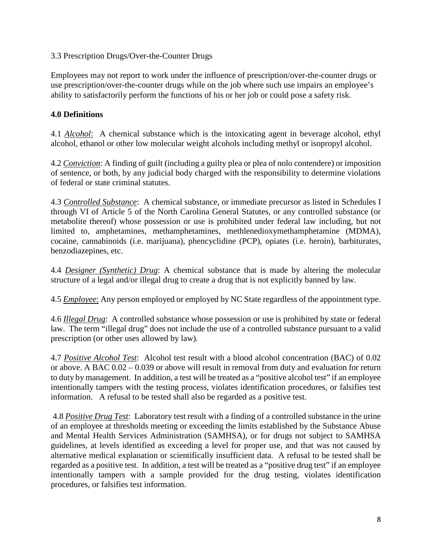### 3.3 Prescription Drugs/Over-the-Counter Drugs

Employees may not report to work under the influence of prescription/over-the-counter drugs or use prescription/over-the-counter drugs while on the job where such use impairs an employee's ability to satisfactorily perform the functions of his or her job or could pose a safety risk.

### **4.0 Definitions**

4.1 *Alcohol*: A chemical substance which is the intoxicating agent in beverage alcohol, ethyl alcohol, ethanol or other low molecular weight alcohols including methyl or isopropyl alcohol.

4.2 *Conviction*: A finding of guilt (including a guilty plea or plea of nolo contendere) or imposition of sentence, or both, by any judicial body charged with the responsibility to determine violations of federal or state criminal statutes.

4.3 *Controlled Substance*: A chemical substance, or immediate precursor as listed in Schedules I through VI of Article 5 of the North Carolina General Statutes, or any controlled substance (or metabolite thereof) whose possession or use is prohibited under federal law including, but not limited to, amphetamines, methamphetamines, methlenedioxymethamphetamine (MDMA), cocaine, cannabinoids (i.e. marijuana), phencyclidine (PCP), opiates (i.e. heroin), barbiturates, benzodiazepines, etc.

4.4 *Designer (Synthetic) Drug*: A chemical substance that is made by altering the molecular structure of a legal and/or illegal drug to create a drug that is not explicitly banned by law.

4.5 *Employee*: Any person employed or employed by NC State regardless of the appointment type.

4.6 *Illegal Drug*: A controlled substance whose possession or use is prohibited by state or federal law. The term "illegal drug" does not include the use of a controlled substance pursuant to a valid prescription (or other uses allowed by law).

4.7 *Positive Alcohol Test*: Alcohol test result with a blood alcohol concentration (BAC) of 0.02 or above. A BAC 0.02 – 0.039 or above will result in removal from duty and evaluation for return to duty by management. In addition, a test will be treated as a "positive alcohol test" if an employee intentionally tampers with the testing process, violates identification procedures, or falsifies test information. A refusal to be tested shall also be regarded as a positive test.

4.8 *Positive Drug Test*: Laboratory test result with a finding of a controlled substance in the urine of an employee at thresholds meeting or exceeding the limits established by the Substance Abuse and Mental Health Services Administration (SAMHSA), or for drugs not subject to SAMHSA guidelines, at levels identified as exceeding a level for proper use, and that was not caused by alternative medical explanation or scientifically insufficient data. A refusal to be tested shall be regarded as a positive test. In addition, a test will be treated as a "positive drug test" if an employee intentionally tampers with a sample provided for the drug testing, violates identification procedures, or falsifies test information.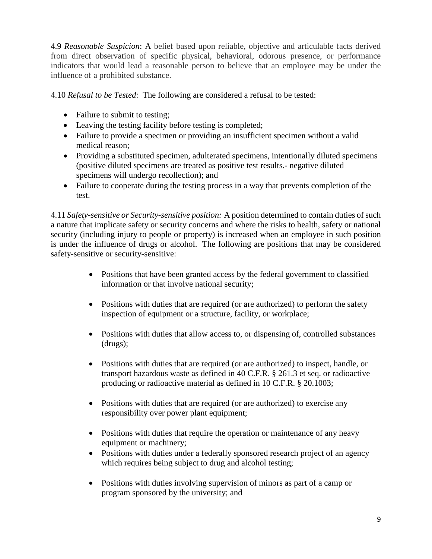4.9 *Reasonable Suspicion*: A belief based upon reliable, objective and articulable facts derived from direct observation of specific physical, behavioral, odorous presence, or performance indicators that would lead a reasonable person to believe that an employee may be under the influence of a prohibited substance.

4.10 *Refusal to be Tested*: The following are considered a refusal to be tested:

- Failure to submit to testing;
- Leaving the testing facility before testing is completed;
- Failure to provide a specimen or providing an insufficient specimen without a valid medical reason;
- Providing a substituted specimen, adulterated specimens, intentionally diluted specimens (positive diluted specimens are treated as positive test results.- negative diluted specimens will undergo recollection); and
- Failure to cooperate during the testing process in a way that prevents completion of the test.

4.11 *Safety-sensitive or Security-sensitive position:* A position determined to contain duties of such a nature that implicate safety or security concerns and where the risks to health, safety or national security (including injury to people or property) is increased when an employee in such position is under the influence of drugs or alcohol. The following are positions that may be considered safety-sensitive or security-sensitive:

- Positions that have been granted access by the federal government to classified information or that involve national security;
- Positions with duties that are required (or are authorized) to perform the safety inspection of equipment or a structure, facility, or workplace;
- Positions with duties that allow access to, or dispensing of, controlled substances (drugs);
- Positions with duties that are required (or are authorized) to inspect, handle, or transport hazardous waste as defined in 40 C.F.R. § 261.3 et seq. or radioactive producing or radioactive material as defined in 10 C.F.R. § 20.1003;
- Positions with duties that are required (or are authorized) to exercise any responsibility over power plant equipment;
- Positions with duties that require the operation or maintenance of any heavy equipment or machinery;
- Positions with duties under a federally sponsored research project of an agency which requires being subject to drug and alcohol testing;
- Positions with duties involving supervision of minors as part of a camp or program sponsored by the university; and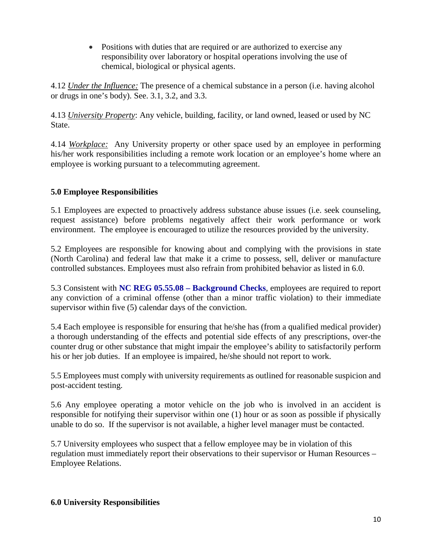• Positions with duties that are required or are authorized to exercise any responsibility over laboratory or hospital operations involving the use of chemical, biological or physical agents.

4.12 *Under the Influence:* The presence of a chemical substance in a person (i.e. having alcohol or drugs in one's body). See. 3.1, 3.2, and 3.3.

4.13 *University Property*: Any vehicle, building, facility, or land owned, leased or used by NC State.

4.14 *Workplace:* Any University property or other space used by an employee in performing his/her work responsibilities including a remote work location or an employee's home where an employee is working pursuant to a telecommuting agreement.

## **5.0 Employee Responsibilities**

5.1 Employees are expected to proactively address substance abuse issues (i.e. seek counseling, request assistance) before problems negatively affect their work performance or work environment. The employee is encouraged to utilize the resources provided by the university.

5.2 Employees are responsible for knowing about and complying with the provisions in state (North Carolina) and federal law that make it a crime to possess, sell, deliver or manufacture controlled substances. Employees must also refrain from prohibited behavior as listed in 6.0.

5.3 Consistent with **NC REG 05.55.08 – [Background Checks](http://policies.ncsu.edu/regulation/reg-05-55-08)**, employees are required to report any conviction of a criminal offense (other than a minor traffic violation) to their immediate supervisor within five (5) calendar days of the conviction.

5.4 Each employee is responsible for ensuring that he/she has (from a qualified medical provider) a thorough understanding of the effects and potential side effects of any prescriptions, over-the counter drug or other substance that might impair the employee's ability to satisfactorily perform his or her job duties. If an employee is impaired, he/she should not report to work.

5.5 Employees must comply with university requirements as outlined for reasonable suspicion and post-accident testing.

5.6 Any employee operating a motor vehicle on the job who is involved in an accident is responsible for notifying their supervisor within one (1) hour or as soon as possible if physically unable to do so. If the supervisor is not available, a higher level manager must be contacted.

5.7 University employees who suspect that a fellow employee may be in violation of this regulation must immediately report their observations to their supervisor or Human Resources – Employee Relations.

### **6.0 University Responsibilities**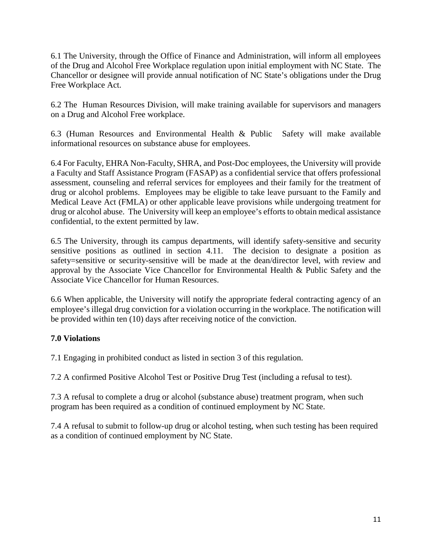6.1 The University, through the Office of Finance and Administration, will inform all employees of the Drug and Alcohol Free Workplace regulation upon initial employment with NC State. The Chancellor or designee will provide annual notification of NC State's obligations under the Drug Free Workplace Act.

6.2 The Human Resources Division, will make training available for supervisors and managers on a Drug and Alcohol Free workplace.

6.3 (Human Resources and Environmental Health & Public Safety will make available informational resources on substance abuse for employees.

6.4 For Faculty, EHRA Non-Faculty, SHRA, and Post-Doc employees, the University will provide a Faculty and Staff Assistance Program (FASAP) as a confidential service that offers professional assessment, counseling and referral services for employees and their family for the treatment of drug or alcohol problems. Employees may be eligible to take leave pursuant to the Family and Medical Leave Act (FMLA) or other applicable leave provisions while undergoing treatment for drug or alcohol abuse. The University will keep an employee's efforts to obtain medical assistance confidential, to the extent permitted by law.

6.5 The University, through its campus departments, will identify safety-sensitive and security sensitive positions as outlined in section 4.11. The decision to designate a position as safety=sensitive or security-sensitive will be made at the dean/director level, with review and approval by the Associate Vice Chancellor for Environmental Health & Public Safety and the Associate Vice Chancellor for Human Resources.

6.6 When applicable, the University will notify the appropriate federal contracting agency of an employee's illegal drug conviction for a violation occurring in the workplace. The notification will be provided within ten (10) days after receiving notice of the conviction.

## **7.0 Violations**

7.1 Engaging in prohibited conduct as listed in section 3 of this regulation.

7.2 A confirmed Positive Alcohol Test or Positive Drug Test (including a refusal to test).

7.3 A refusal to complete a drug or alcohol (substance abuse) treatment program, when such program has been required as a condition of continued employment by NC State.

7.4 A refusal to submit to follow-up drug or alcohol testing, when such testing has been required as a condition of continued employment by NC State.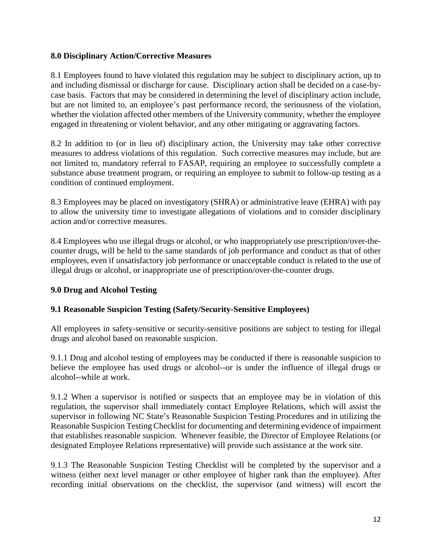### **8.0 Disciplinary Action/Corrective Measures**

8.1 Employees found to have violated this regulation may be subject to disciplinary action, up to and including dismissal or discharge for cause. Disciplinary action shall be decided on a case-bycase basis. Factors that may be considered in determining the level of disciplinary action include, but are not limited to, an employee's past performance record, the seriousness of the violation, whether the violation affected other members of the University community, whether the employee engaged in threatening or violent behavior, and any other mitigating or aggravating factors.

8.2 In addition to (or in lieu of) disciplinary action, the University may take other corrective measures to address violations of this regulation. Such corrective measures may include, but are not limited to, mandatory referral to FASAP, requiring an employee to successfully complete a substance abuse treatment program, or requiring an employee to submit to follow-up testing as a condition of continued employment.

8.3 Employees may be placed on investigatory (SHRA) or administrative leave (EHRA) with pay to allow the university time to investigate allegations of violations and to consider disciplinary action and/or corrective measures.

8.4 Employees who use illegal drugs or alcohol, or who inappropriately use prescription/over-thecounter drugs, will be held to the same standards of job performance and conduct as that of other employees, even if unsatisfactory job performance or unacceptable conduct is related to the use of illegal drugs or alcohol, or inappropriate use of prescription/over-the-counter drugs.

### **9.0 Drug and Alcohol Testing**

### **9.1 Reasonable Suspicion Testing (Safety/Security-Sensitive Employees)**

All employees in safety-sensitive or security-sensitive positions are subject to testing for illegal drugs and alcohol based on reasonable suspicion.

9.1.1 Drug and alcohol testing of employees may be conducted if there is reasonable suspicion to believe the employee has used drugs or alcohol--or is under the influence of illegal drugs or alcohol--while at work.

9.1.2 When a supervisor is notified or suspects that an employee may be in violation of this regulation, the supervisor shall immediately contact Employee Relations, which will assist the supervisor in following NC State's Reasonable Suspicion Testing Procedures and in utilizing the Reasonable Suspicion Testing Checklist for documenting and determining evidence of impairment that establishes reasonable suspicion. Whenever feasible, the Director of Employee Relations (or designated Employee Relations representative) will provide such assistance at the work site.

9.1.3 The Reasonable Suspicion Testing Checklist will be completed by the supervisor and a witness (either next level manager or other employee of higher rank than the employee). After recording initial observations on the checklist, the supervisor (and witness) will escort the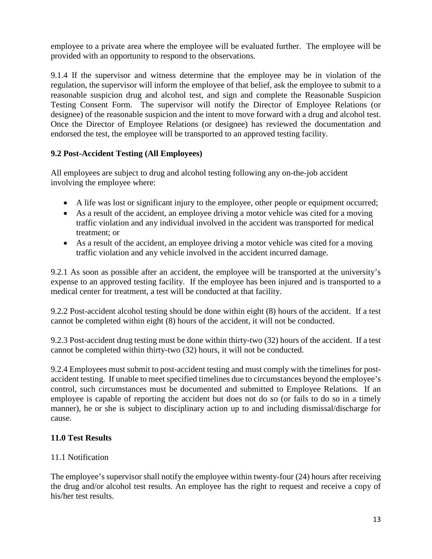employee to a private area where the employee will be evaluated further. The employee will be provided with an opportunity to respond to the observations.

9.1.4 If the supervisor and witness determine that the employee may be in violation of the regulation, the supervisor will inform the employee of that belief, ask the employee to submit to a reasonable suspicion drug and alcohol test, and sign and complete the Reasonable Suspicion Testing Consent Form. The supervisor will notify the Director of Employee Relations (or designee) of the reasonable suspicion and the intent to move forward with a drug and alcohol test. Once the Director of Employee Relations (or designee) has reviewed the documentation and endorsed the test, the employee will be transported to an approved testing facility.

## **9.2 Post-Accident Testing (All Employees)**

All employees are subject to drug and alcohol testing following any on-the-job accident involving the employee where:

- A life was lost or significant injury to the employee, other people or equipment occurred;
- As a result of the accident, an employee driving a motor vehicle was cited for a moving traffic violation and any individual involved in the accident was transported for medical treatment; or
- As a result of the accident, an employee driving a motor vehicle was cited for a moving traffic violation and any vehicle involved in the accident incurred damage.

9.2.1 As soon as possible after an accident, the employee will be transported at the university's expense to an approved testing facility. If the employee has been injured and is transported to a medical center for treatment, a test will be conducted at that facility.

9.2.2 Post-accident alcohol testing should be done within eight (8) hours of the accident. If a test cannot be completed within eight (8) hours of the accident, it will not be conducted.

9.2.3 Post-accident drug testing must be done within thirty-two (32) hours of the accident. If a test cannot be completed within thirty-two (32) hours, it will not be conducted.

9.2.4 Employees must submit to post-accident testing and must comply with the timelines for postaccident testing. If unable to meet specified timelines due to circumstances beyond the employee's control, such circumstances must be documented and submitted to Employee Relations. If an employee is capable of reporting the accident but does not do so (or fails to do so in a timely manner), he or she is subject to disciplinary action up to and including dismissal/discharge for cause.

### **11.0 Test Results**

### 11.1 Notification

The employee's supervisor shall notify the employee within twenty-four (24) hours after receiving the drug and/or alcohol test results. An employee has the right to request and receive a copy of his/her test results.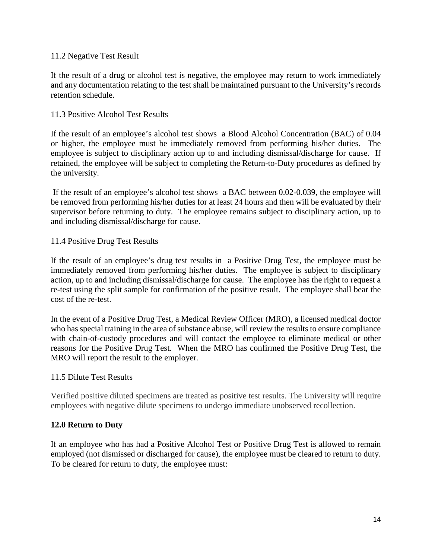### 11.2 Negative Test Result

If the result of a drug or alcohol test is negative, the employee may return to work immediately and any documentation relating to the test shall be maintained pursuant to the University's records retention schedule.

### 11.3 Positive Alcohol Test Results

If the result of an employee's alcohol test shows a Blood Alcohol Concentration (BAC) of 0.04 or higher, the employee must be immediately removed from performing his/her duties. The employee is subject to disciplinary action up to and including dismissal/discharge for cause. If retained, the employee will be subject to completing the Return-to-Duty procedures as defined by the university.

If the result of an employee's alcohol test shows a BAC between 0.02-0.039, the employee will be removed from performing his/her duties for at least 24 hours and then will be evaluated by their supervisor before returning to duty. The employee remains subject to disciplinary action, up to and including dismissal/discharge for cause.

### 11.4 Positive Drug Test Results

If the result of an employee's drug test results in a Positive Drug Test, the employee must be immediately removed from performing his/her duties. The employee is subject to disciplinary action, up to and including dismissal/discharge for cause. The employee has the right to request a re-test using the split sample for confirmation of the positive result. The employee shall bear the cost of the re-test.

In the event of a Positive Drug Test, a Medical Review Officer (MRO), a licensed medical doctor who has special training in the area of substance abuse, will review the results to ensure compliance with chain-of-custody procedures and will contact the employee to eliminate medical or other reasons for the Positive Drug Test. When the MRO has confirmed the Positive Drug Test, the MRO will report the result to the employer.

### 11.5 Dilute Test Results

Verified positive diluted specimens are treated as positive test results. The University will require employees with negative dilute specimens to undergo immediate unobserved recollection.

### **12.0 Return to Duty**

If an employee who has had a Positive Alcohol Test or Positive Drug Test is allowed to remain employed (not dismissed or discharged for cause), the employee must be cleared to return to duty. To be cleared for return to duty, the employee must: